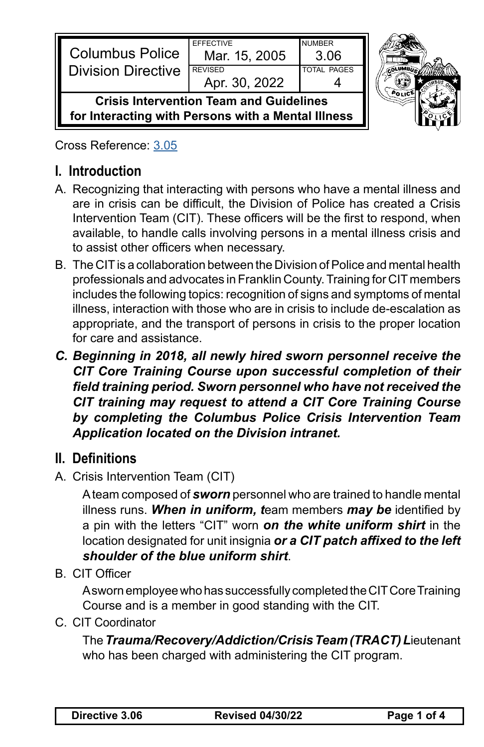| <b>Columbus Police</b><br><b>I</b> Division Directive                                                | <b>FFFFCTIVE</b><br>Mar. 15, 2005<br><b>REVISED</b> | <b>NUMBER</b><br>3.06<br><b>TOTAL PAGES</b> |  |
|------------------------------------------------------------------------------------------------------|-----------------------------------------------------|---------------------------------------------|--|
|                                                                                                      | Apr. 30, 2022                                       |                                             |  |
| <b>Crisis Intervention Team and Guidelines</b><br>for Interacting with Persons with a Mental Illness |                                                     |                                             |  |

Cross Reference: [3.05](https://powerdms.com/link/CBUS/document/?id=1216783)

# **I. Introduction**

- A. Recognizing that interacting with persons who have a mental illness and are in crisis can be difficult, the Division of Police has created a Crisis Intervention Team (CIT). These officers will be the first to respond, when available, to handle calls involving persons in a mental illness crisis and to assist other officers when necessary.
- B. The CIT is a collaboration between the Division of Police and mental health professionals and advocates in Franklin County. Training for CIT members includes the following topics: recognition of signs and symptoms of mental illness, interaction with those who are in crisis to include de-escalation as appropriate, and the transport of persons in crisis to the proper location for care and assistance.
- *C. Beginning in 2018, all newly hired sworn personnel receive the CIT Core Training Course upon successful completion of their field training period. Sworn personnel who have not received the CIT training may request to attend a CIT Core Training Course by completing the Columbus Police Crisis Intervention Team Application located on the Division intranet.*

## **II. Definitions**

A. Crisis Intervention Team (CIT)

A team composed of *sworn* personnel who are trained to handle mental illness runs. *When in uniform, t*eam members *may be* identified by a pin with the letters "CIT" worn *on the white uniform shirt* in the location designated for unit insignia *or a CIT patch affixed to the left shoulder of the blue uniform shirt*.

B. CIT Officer

A sworn employee who has successfully completed the CIT Core Training Course and is a member in good standing with the CIT.

C. CIT Coordinator

The *Trauma/Recovery/Addiction/Crisis Team (TRACT) L*ieutenant who has been charged with administering the CIT program.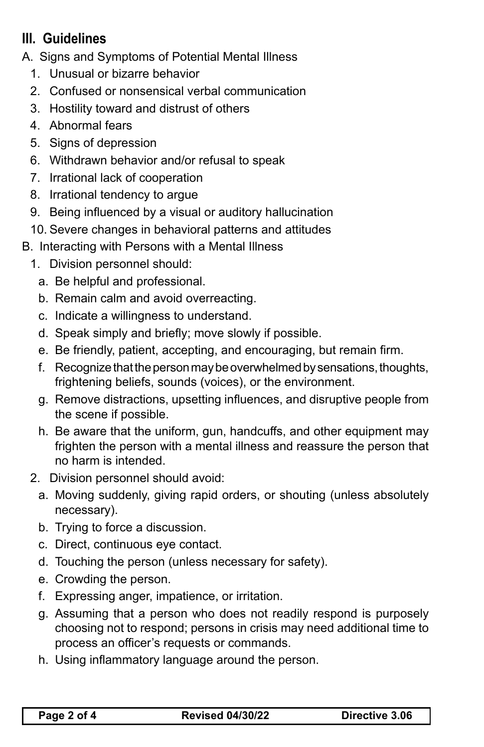# **III. Guidelines**

A. Signs and Symptoms of Potential Mental Illness

- 1. Unusual or bizarre behavior
- 2. Confused or nonsensical verbal communication
- 3. Hostility toward and distrust of others
- 4. Abnormal fears
- 5. Signs of depression
- 6. Withdrawn behavior and/or refusal to speak
- 7. Irrational lack of cooperation
- 8. Irrational tendency to argue
- 9. Being influenced by a visual or auditory hallucination
- 10. Severe changes in behavioral patterns and attitudes
- B. Interacting with Persons with a Mental Illness
	- 1. Division personnel should:
		- a. Be helpful and professional.
		- b. Remain calm and avoid overreacting.
		- c. Indicate a willingness to understand.
		- d. Speak simply and briefly; move slowly if possible.
		- e. Be friendly, patient, accepting, and encouraging, but remain firm.
		- f. Recognize that the person may be overwhelmed by sensations, thoughts, frightening beliefs, sounds (voices), or the environment.
		- g. Remove distractions, upsetting influences, and disruptive people from the scene if possible.
		- h. Be aware that the uniform, gun, handcuffs, and other equipment may frighten the person with a mental illness and reassure the person that no harm is intended.
	- 2. Division personnel should avoid:
		- a. Moving suddenly, giving rapid orders, or shouting (unless absolutely necessary).
		- b. Trying to force a discussion.
		- c. Direct, continuous eye contact.
		- d. Touching the person (unless necessary for safety).
		- e. Crowding the person.
		- f. Expressing anger, impatience, or irritation.
		- g. Assuming that a person who does not readily respond is purposely choosing not to respond; persons in crisis may need additional time to process an officer's requests or commands.
		- h. Using inflammatory language around the person.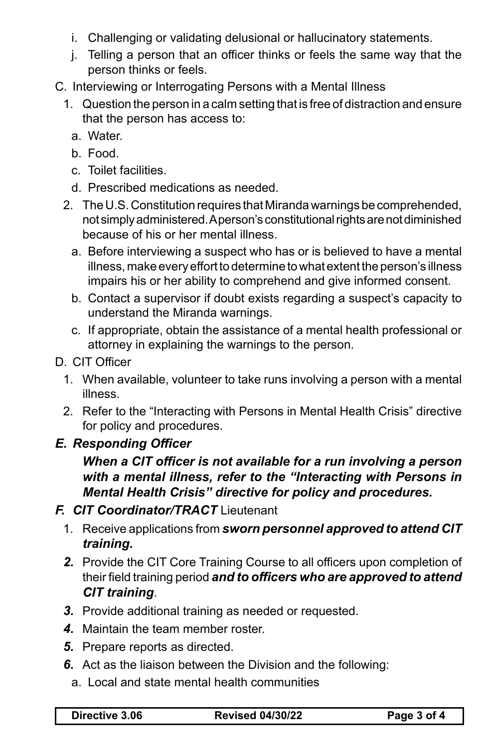- i. Challenging or validating delusional or hallucinatory statements.
- j. Telling a person that an officer thinks or feels the same way that the person thinks or feels.
- C. Interviewing or Interrogating Persons with a Mental Illness
	- 1. Question the person in a calm setting that is free of distraction and ensure that the person has access to:
		- a. Water.
		- b. Food.
		- c. Toilet facilities.
		- d. Prescribed medications as needed.
	- 2. The U.S. Constitution requires that Miranda warnings be comprehended, not simply administered. A person's constitutional rights are not diminished because of his or her mental illness.
		- a. Before interviewing a suspect who has or is believed to have a mental illness, make every effort to determine to what extent the person's illness impairs his or her ability to comprehend and give informed consent.
		- b. Contact a supervisor if doubt exists regarding a suspect's capacity to understand the Miranda warnings.
		- c. If appropriate, obtain the assistance of a mental health professional or attorney in explaining the warnings to the person.
- D. CIT Officer
	- 1. When available, volunteer to take runs involving a person with a mental illness.
	- 2. Refer to the "Interacting with Persons in Mental Health Crisis" directive for policy and procedures.

### *E. Responding Officer*

### *When a CIT officer is not available for a run involving a person with a mental illness, refer to the "Interacting with Persons in Mental Health Crisis" directive for policy and procedures.*

#### *F. CIT Coordinator/TRACT* Lieutenant

- 1. Receive applications from *sworn personnel approved to attend CIT training.*
- *2.* Provide the CIT Core Training Course to all officers upon completion of their field training period *and to officers who are approved to attend CIT training*.
- *3.* Provide additional training as needed or requested.
- *4.* Maintain the team member roster.
- *5.* Prepare reports as directed.
- *6.* Act as the liaison between the Division and the following:
	- a. Local and state mental health communities